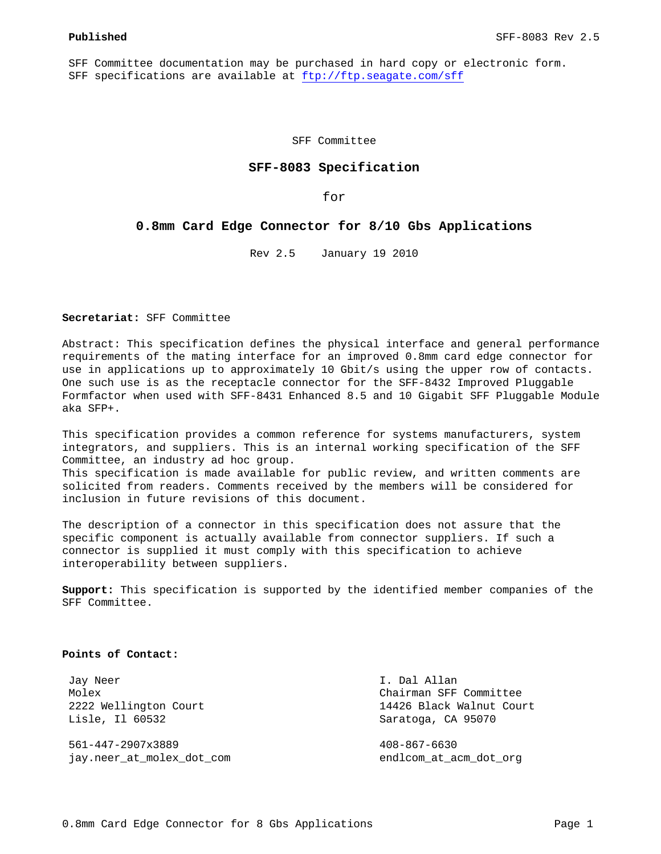SFF Committee documentation may be purchased in hard copy or electronic form. SFF specifications are available at ftp://ftp.seagate.com/sff

SFF Committee

## **SFF-8083 Specification**

for

#### **0.8mm Card Edge Connector for 8/10 Gbs Applications**

Rev 2.5 January 19 2010

**Secretariat:** SFF Committee

Abstract: This specification defines the physical interface and general performance requirements of the mating interface for an improved 0.8mm card edge connector for use in applications up to approximately 10 Gbit/s using the upper row of contacts. One such use is as the receptacle connector for the SFF-8432 Improved Pluggable Formfactor when used with SFF-8431 Enhanced 8.5 and 10 Gigabit SFF Pluggable Module aka SFP+.

This specification provides a common reference for systems manufacturers, system integrators, and suppliers. This is an internal working specification of the SFF Committee, an industry ad hoc group. This specification is made available for public review, and written comments are solicited from readers. Comments received by the members will be considered for inclusion in future revisions of this document.

The description of a connector in this specification does not assure that the specific component is actually available from connector suppliers. If such a connector is supplied it must comply with this specification to achieve interoperability between suppliers.

**Support:** This specification is supported by the identified member companies of the SFF Committee.

#### **Points of Contact:**

 Jay Neer I. Dal Allan Lisle, Il 60532 Saratoga, CA 95070

 561-447-2907x3889 408-867-6630 jay.neer\_at\_molex\_dot\_com endlcom\_at\_acm\_dot\_org

 Molex Chairman SFF Committee 2222 Wellington Court 14426 Black Walnut Court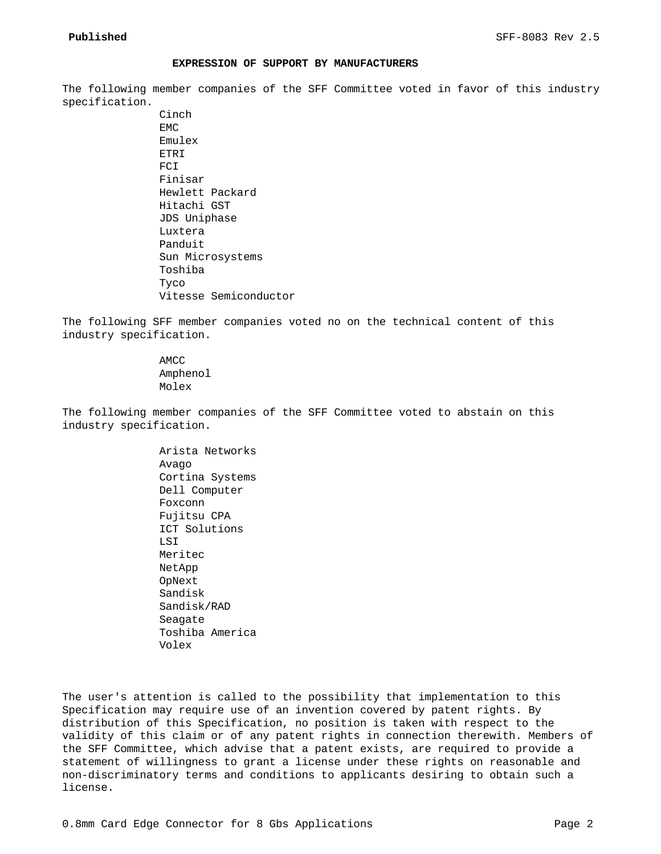#### **EXPRESSION OF SUPPORT BY MANUFACTURERS**

The following member companies of the SFF Committee voted in favor of this industry specification.

> Cinch EMC Emulex ETRI FCI Finisar Hewlett Packard Hitachi GST JDS Uniphase Luxtera Panduit Sun Microsystems Toshiba Tyco Vitesse Semiconductor

The following SFF member companies voted no on the technical content of this industry specification.

> AMCC Amphenol Molex

The following member companies of the SFF Committee voted to abstain on this industry specification.

> Arista Networks Avago Cortina Systems Dell Computer Foxconn Fujitsu CPA ICT Solutions LSI Meritec NetApp OpNext Sandisk Sandisk/RAD Seagate Toshiba America Volex

The user's attention is called to the possibility that implementation to this Specification may require use of an invention covered by patent rights. By distribution of this Specification, no position is taken with respect to the validity of this claim or of any patent rights in connection therewith. Members of the SFF Committee, which advise that a patent exists, are required to provide a statement of willingness to grant a license under these rights on reasonable and non-discriminatory terms and conditions to applicants desiring to obtain such a license.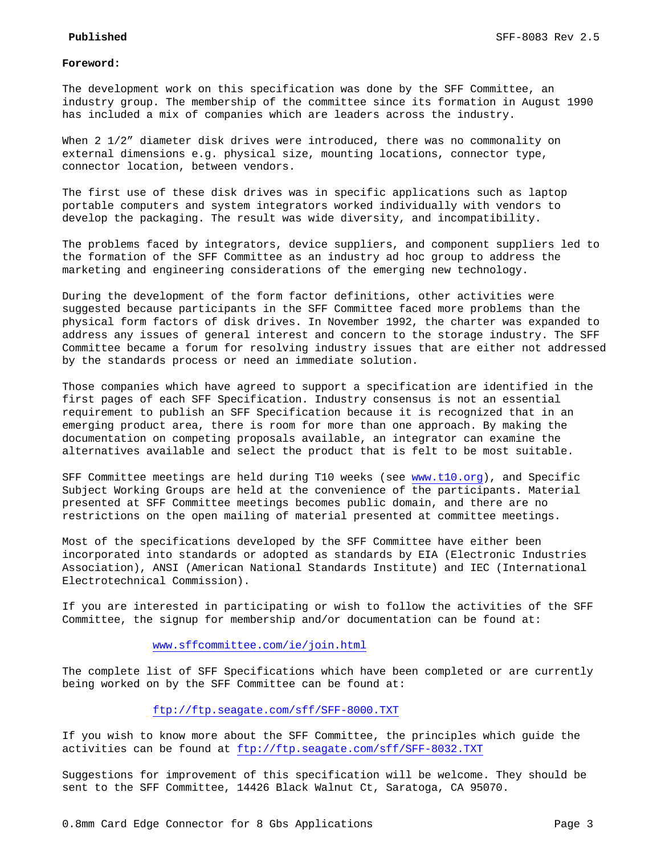#### **Foreword:**

The development work on this specification was done by the SFF Committee, an industry group. The membership of the committee since its formation in August 1990 has included a mix of companies which are leaders across the industry.

When 2 1/2" diameter disk drives were introduced, there was no commonality on external dimensions e.g. physical size, mounting locations, connector type, connector location, between vendors.

The first use of these disk drives was in specific applications such as laptop portable computers and system integrators worked individually with vendors to develop the packaging. The result was wide diversity, and incompatibility.

The problems faced by integrators, device suppliers, and component suppliers led to the formation of the SFF Committee as an industry ad hoc group to address the marketing and engineering considerations of the emerging new technology.

During the development of the form factor definitions, other activities were suggested because participants in the SFF Committee faced more problems than the physical form factors of disk drives. In November 1992, the charter was expanded to address any issues of general interest and concern to the storage industry. The SFF Committee became a forum for resolving industry issues that are either not addressed by the standards process or need an immediate solution.

Those companies which have agreed to support a specification are identified in the first pages of each SFF Specification. Industry consensus is not an essential requirement to publish an SFF Specification because it is recognized that in an emerging product area, there is room for more than one approach. By making the documentation on competing proposals available, an integrator can examine the alternatives available and select the product that is felt to be most suitable.

SFF Committee meetings are held during T10 weeks (see www.t10.org), and Specific Subject Working Groups are held at the convenience of the participants. Material presented at SFF Committee meetings becomes public domain, and there are no restrictions on the open mailing of material presented at committee meetings.

Most of the specifications developed by the SFF Committee have either been incorporated into standards or adopted as standards by EIA (Electronic Industries Association), ANSI (American National Standards Institute) and IEC (International Electrotechnical Commission).

If you are interested in participating or wish to follow the activities of the SFF Committee, the signup for membership and/or documentation can be found at:

#### www.sffcommittee.com/ie/join.html

The complete list of SFF Specifications which have been completed or are currently being worked on by the SFF Committee can be found at:

# ftp://ftp.seagate.com/sff/SFF-8000.TXT

If you wish to know more about the SFF Committee, the principles which guide the activities can be found at ftp://ftp.seagate.com/sff/SFF-8032.TXT

Suggestions for improvement of this specification will be welcome. They should be sent to the SFF Committee, 14426 Black Walnut Ct, Saratoga, CA 95070.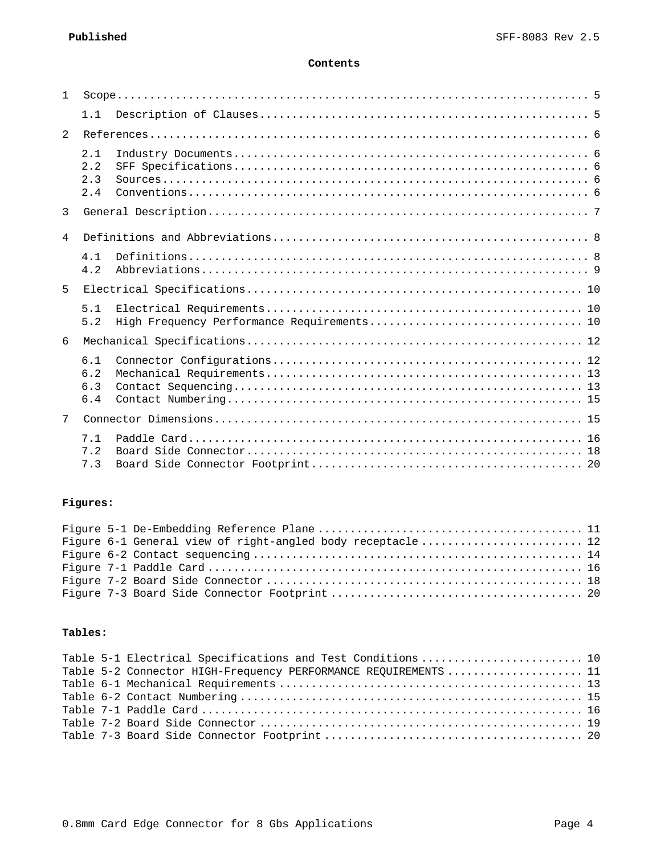## **Contents**

| 1              |                          |  |
|----------------|--------------------------|--|
|                | 1.1                      |  |
| $\mathfrak{D}$ |                          |  |
|                | 2.1<br>2.2<br>2.3<br>2.4 |  |
| 3              |                          |  |
| $\overline{4}$ |                          |  |
|                | 4.1<br>4.2               |  |
| 5              |                          |  |
|                | 5.1<br>5.2               |  |
| 6              |                          |  |
|                | 6.1<br>6.2<br>6.3<br>6.4 |  |
| 7              |                          |  |
|                | 7.1<br>7.2<br>7.3        |  |

# **Figures:**

|  | Figure 6-1 General view of right-angled body receptacle  12 |  |
|--|-------------------------------------------------------------|--|
|  |                                                             |  |
|  |                                                             |  |
|  |                                                             |  |
|  |                                                             |  |

# **Tables:**

|  | Table 5-1 Electrical Specifications and Test Conditions  10    |  |
|--|----------------------------------------------------------------|--|
|  | Table 5-2 Connector HIGH-Frequency PERFORMANCE REQUIREMENTS 11 |  |
|  |                                                                |  |
|  |                                                                |  |
|  |                                                                |  |
|  |                                                                |  |
|  |                                                                |  |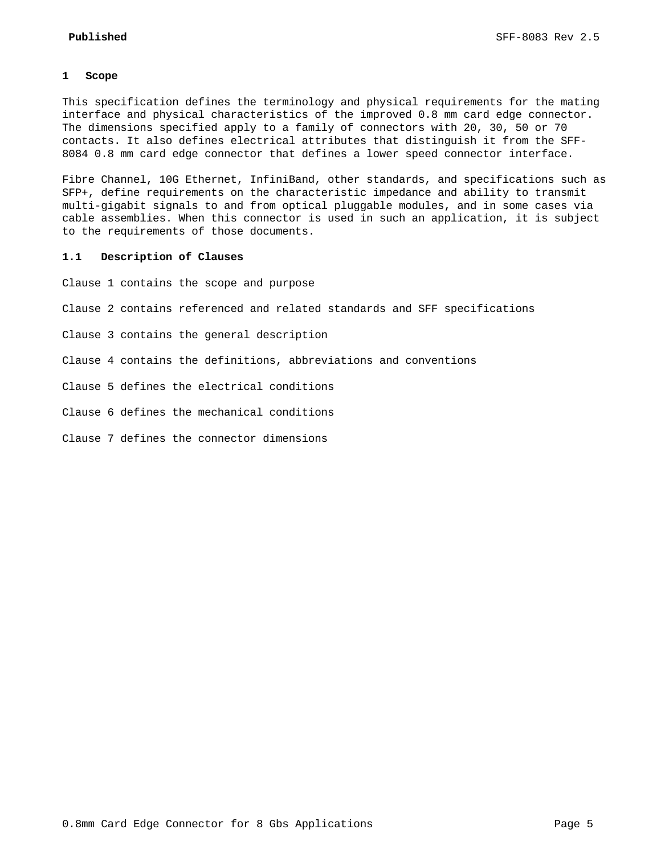#### **1 Scope**

This specification defines the terminology and physical requirements for the mating interface and physical characteristics of the improved 0.8 mm card edge connector. The dimensions specified apply to a family of connectors with 20, 30, 50 or 70 contacts. It also defines electrical attributes that distinguish it from the SFF-8084 0.8 mm card edge connector that defines a lower speed connector interface.

Fibre Channel, 10G Ethernet, InfiniBand, other standards, and specifications such as SFP+, define requirements on the characteristic impedance and ability to transmit multi-gigabit signals to and from optical pluggable modules, and in some cases via cable assemblies. When this connector is used in such an application, it is subject to the requirements of those documents.

#### **1.1 Description of Clauses**

Clause 1 contains the scope and purpose

Clause 2 contains referenced and related standards and SFF specifications

Clause 3 contains the general description

Clause 4 contains the definitions, abbreviations and conventions

Clause 5 defines the electrical conditions

Clause 6 defines the mechanical conditions

Clause 7 defines the connector dimensions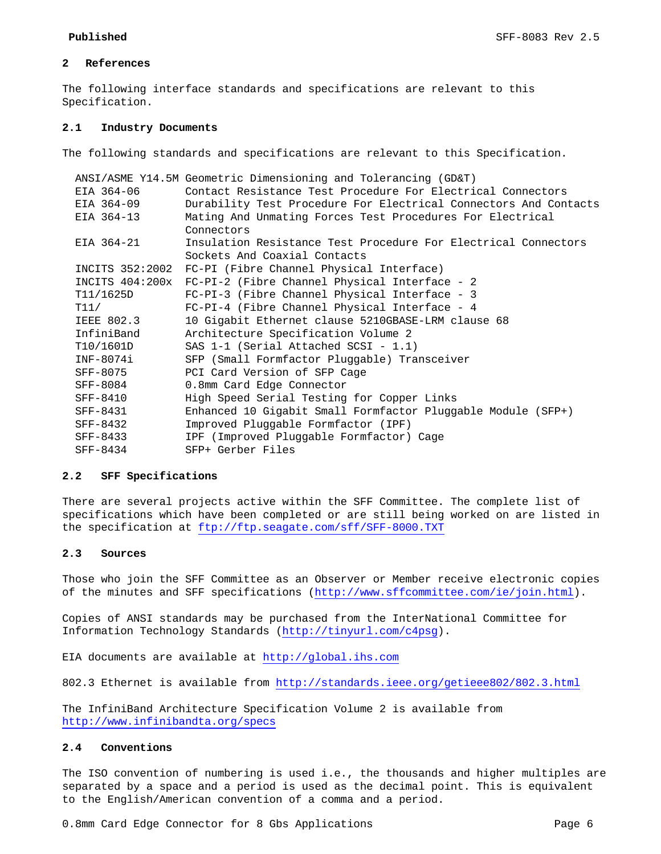## **2 References**

The following interface standards and specifications are relevant to this Specification.

#### **2.1 Industry Documents**

The following standards and specifications are relevant to this Specification.

|                   | ANSI/ASME Y14.5M Geometric Dimensioning and Tolerancing (GD&T)   |
|-------------------|------------------------------------------------------------------|
| EIA 364-06        | Contact Resistance Test Procedure For Electrical Connectors      |
| EIA 364-09        | Durability Test Procedure For Electrical Connectors And Contacts |
| EIA 364-13        | Mating And Unmating Forces Test Procedures For Electrical        |
|                   | Connectors                                                       |
| EIA 364-21        | Insulation Resistance Test Procedure For Electrical Connectors   |
|                   | Sockets And Coaxial Contacts                                     |
|                   | INCITS 352:2002 FC-PI (Fibre Channel Physical Interface)         |
|                   | INCITS 404:200x FC-PI-2 (Fibre Channel Physical Interface - 2    |
| T11/1625D         | FC-PI-3 (Fibre Channel Physical Interface - 3                    |
| T11/              | FC-PI-4 (Fibre Channel Physical Interface - 4                    |
| <b>IEEE 802.3</b> | 10 Gigabit Ethernet clause 5210GBASE-LRM clause 68               |
| InfiniBand        | Architecture Specification Volume 2                              |
| T10/1601D         | SAS $1-1$ (Serial Attached SCSI - 1.1)                           |
| INF-8074i         | SFP (Small Formfactor Pluggable) Transceiver                     |
| SFF-8075          | PCI Card Version of SFP Cage                                     |
| SFF-8084          | 0.8mm Card Edge Connector                                        |
| SFF-8410          | High Speed Serial Testing for Copper Links                       |
| SFF-8431          | Enhanced 10 Gigabit Small Formfactor Pluggable Module (SFP+)     |
| $SFF-8432$        | Improved Pluggable Formfactor (IPF)                              |
| SFF-8433          | IPF (Improved Pluggable Formfactor) Cage                         |
| SFF-8434          | SFP+ Gerber Files                                                |
|                   |                                                                  |

## **2.2 SFF Specifications**

There are several projects active within the SFF Committee. The complete list of specifications which have been completed or are still being worked on are listed in the specification at ftp://ftp.seagate.com/sff/SFF-8000.TXT

## **2.3 Sources**

Those who join the SFF Committee as an Observer or Member receive electronic copies of the minutes and SFF specifications (http://www.sffcommittee.com/ie/join.html).

Copies of ANSI standards may be purchased from the InterNational Committee for Information Technology Standards (http://tinyurl.com/c4psg).

EIA documents are available at http://global.ihs.com

802.3 Ethernet is available from http://standards.ieee.org/getieee802/802.3.html

The InfiniBand Architecture Specification Volume 2 is available from http://www.infinibandta.org/specs

## **2.4 Conventions**

The ISO convention of numbering is used i.e., the thousands and higher multiples are separated by a space and a period is used as the decimal point. This is equivalent to the English/American convention of a comma and a period.

0.8mm Card Edge Connector for 8 Gbs Applications Page 6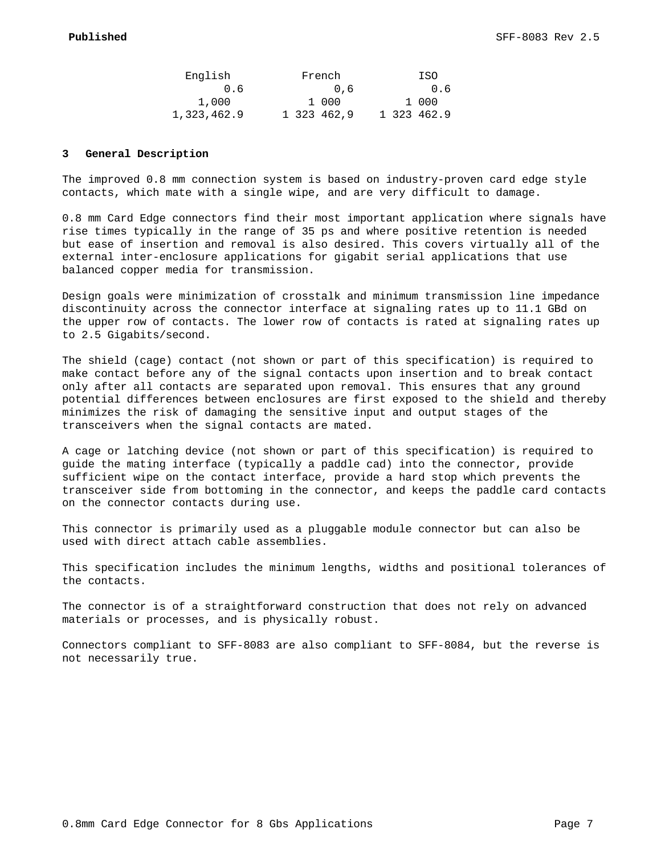| English     |     | French      |  | ISO         |
|-------------|-----|-------------|--|-------------|
|             | 0.6 | 0.6         |  | 0.6         |
| 1,000       |     | 1 000       |  | 1 000       |
| 1,323,462.9 |     | 1 323 462,9 |  | 1 323 462.9 |

#### **3 General Description**

The improved 0.8 mm connection system is based on industry-proven card edge style contacts, which mate with a single wipe, and are very difficult to damage.

0.8 mm Card Edge connectors find their most important application where signals have rise times typically in the range of 35 ps and where positive retention is needed but ease of insertion and removal is also desired. This covers virtually all of the external inter-enclosure applications for gigabit serial applications that use balanced copper media for transmission.

Design goals were minimization of crosstalk and minimum transmission line impedance discontinuity across the connector interface at signaling rates up to 11.1 GBd on the upper row of contacts. The lower row of contacts is rated at signaling rates up to 2.5 Gigabits/second.

The shield (cage) contact (not shown or part of this specification) is required to make contact before any of the signal contacts upon insertion and to break contact only after all contacts are separated upon removal. This ensures that any ground potential differences between enclosures are first exposed to the shield and thereby minimizes the risk of damaging the sensitive input and output stages of the transceivers when the signal contacts are mated.

A cage or latching device (not shown or part of this specification) is required to guide the mating interface (typically a paddle cad) into the connector, provide sufficient wipe on the contact interface, provide a hard stop which prevents the transceiver side from bottoming in the connector, and keeps the paddle card contacts on the connector contacts during use.

This connector is primarily used as a pluggable module connector but can also be used with direct attach cable assemblies.

This specification includes the minimum lengths, widths and positional tolerances of the contacts.

The connector is of a straightforward construction that does not rely on advanced materials or processes, and is physically robust.

Connectors compliant to SFF-8083 are also compliant to SFF-8084, but the reverse is not necessarily true.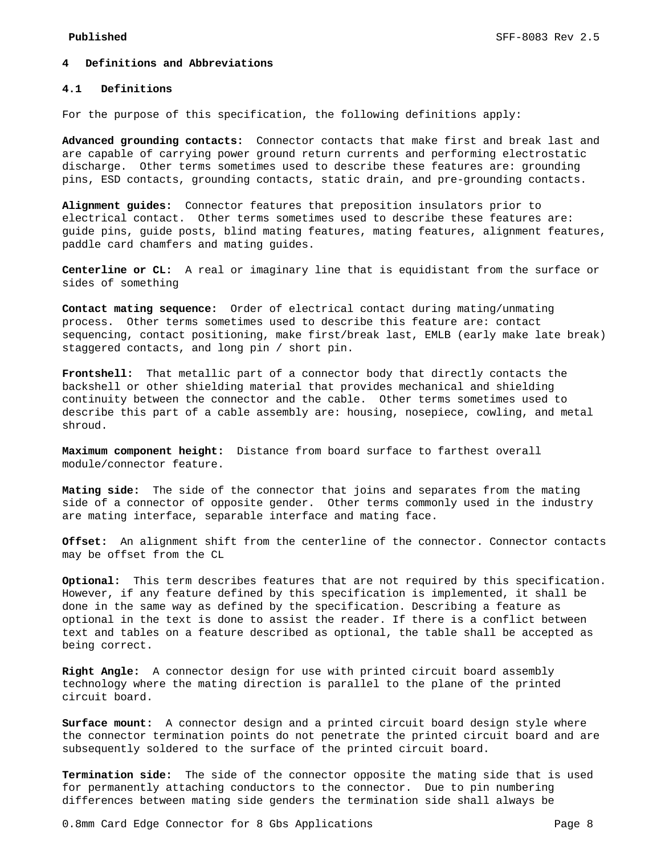#### **4 Definitions and Abbreviations**

#### **4.1 Definitions**

For the purpose of this specification, the following definitions apply:

**Advanced grounding contacts:** Connector contacts that make first and break last and are capable of carrying power ground return currents and performing electrostatic discharge. Other terms sometimes used to describe these features are: grounding pins, ESD contacts, grounding contacts, static drain, and pre-grounding contacts.

**Alignment guides:** Connector features that preposition insulators prior to electrical contact. Other terms sometimes used to describe these features are: guide pins, guide posts, blind mating features, mating features, alignment features, paddle card chamfers and mating guides.

**Centerline or CL:** A real or imaginary line that is equidistant from the surface or sides of something

**Contact mating sequence:** Order of electrical contact during mating/unmating process. Other terms sometimes used to describe this feature are: contact sequencing, contact positioning, make first/break last, EMLB (early make late break) staggered contacts, and long pin / short pin.

**Frontshell:** That metallic part of a connector body that directly contacts the backshell or other shielding material that provides mechanical and shielding continuity between the connector and the cable. Other terms sometimes used to describe this part of a cable assembly are: housing, nosepiece, cowling, and metal shroud.

**Maximum component height:** Distance from board surface to farthest overall module/connector feature.

**Mating side:** The side of the connector that joins and separates from the mating side of a connector of opposite gender. Other terms commonly used in the industry are mating interface, separable interface and mating face.

**Offset:** An alignment shift from the centerline of the connector. Connector contacts may be offset from the CL

**Optional:** This term describes features that are not required by this specification. However, if any feature defined by this specification is implemented, it shall be done in the same way as defined by the specification. Describing a feature as optional in the text is done to assist the reader. If there is a conflict between text and tables on a feature described as optional, the table shall be accepted as being correct.

**Right Angle:** A connector design for use with printed circuit board assembly technology where the mating direction is parallel to the plane of the printed circuit board.

**Surface mount:** A connector design and a printed circuit board design style where the connector termination points do not penetrate the printed circuit board and are subsequently soldered to the surface of the printed circuit board.

**Termination side:** The side of the connector opposite the mating side that is used for permanently attaching conductors to the connector. Due to pin numbering differences between mating side genders the termination side shall always be

0.8mm Card Edge Connector for 8 Gbs Applications Page 8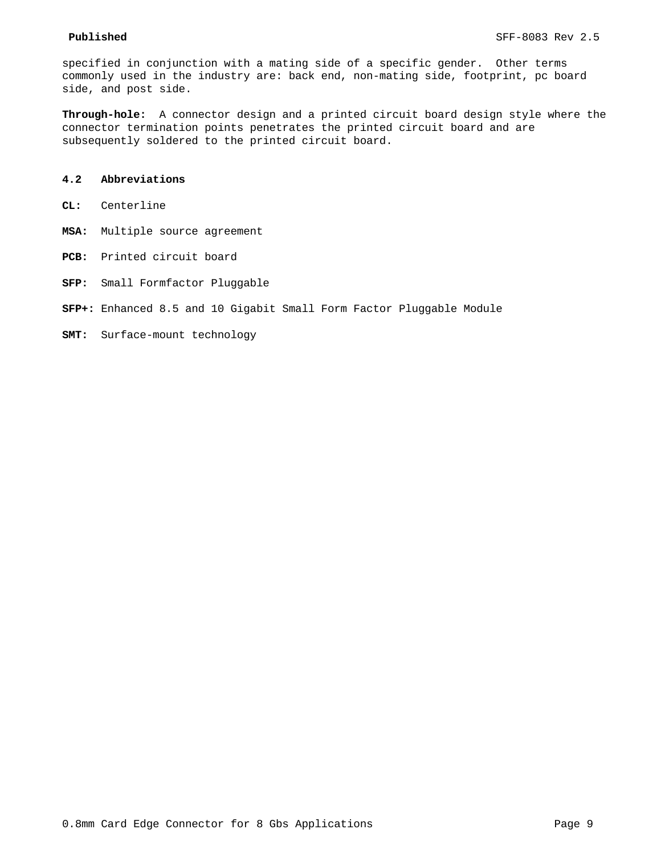specified in conjunction with a mating side of a specific gender. Other terms commonly used in the industry are: back end, non-mating side, footprint, pc board side, and post side.

**Through-hole:** A connector design and a printed circuit board design style where the connector termination points penetrates the printed circuit board and are subsequently soldered to the printed circuit board.

## **4.2 Abbreviations**

- **CL:** Centerline
- **MSA:** Multiple source agreement
- **PCB:** Printed circuit board
- **SFP:** Small Formfactor Pluggable
- **SFP+:** Enhanced 8.5 and 10 Gigabit Small Form Factor Pluggable Module
- **SMT:** Surface-mount technology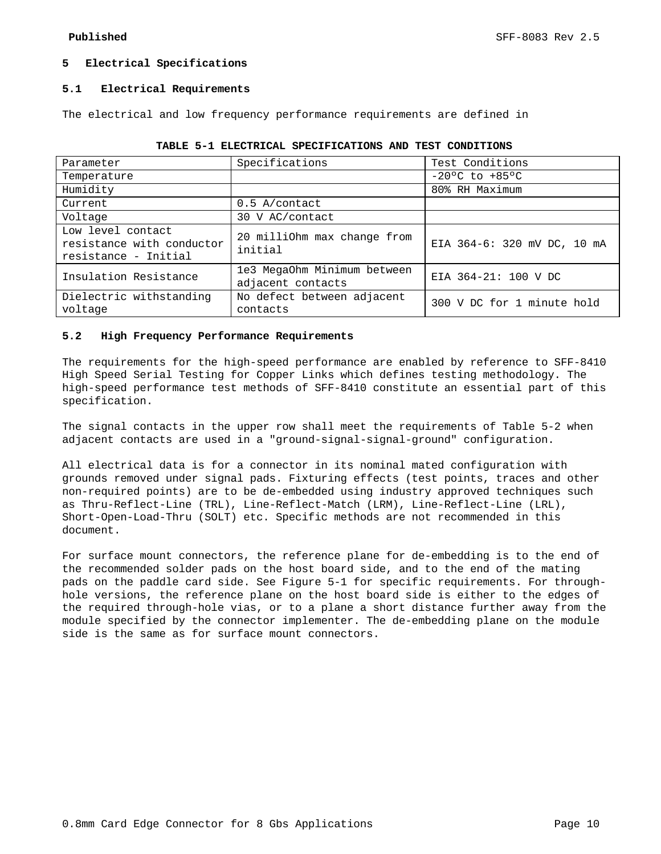## **5 Electrical Specifications**

#### **5.1 Electrical Requirements**

The electrical and low frequency performance requirements are defined in

| Parameter                                                              | Specifications                                   | Test Conditions             |
|------------------------------------------------------------------------|--------------------------------------------------|-----------------------------|
| Temperature                                                            |                                                  | $-20°C$ to $+85°C$          |
| Humidity                                                               |                                                  | 80% RH Maximum              |
| Current                                                                | $0.5$ A/contact                                  |                             |
| Voltage                                                                | 30 V AC/contact                                  |                             |
| Low level contact<br>resistance with conductor<br>resistance - Initial | 20 milliOhm max change from<br>initial           | EIA 364-6: 320 mV DC, 10 mA |
| Insulation Resistance                                                  | 1e3 MegaOhm Minimum between<br>adjacent contacts | EIA 364-21: 100 V DC        |
| Dielectric withstanding<br>voltage                                     | No defect between adjacent<br>contacts           | 300 V DC for 1 minute hold  |

|  |  | TABLE 5-1 ELECTRICAL SPECIFICATIONS AND TEST CONDITIONS |  |  |  |
|--|--|---------------------------------------------------------|--|--|--|
|--|--|---------------------------------------------------------|--|--|--|

## **5.2 High Frequency Performance Requirements**

The requirements for the high-speed performance are enabled by reference to SFF-8410 High Speed Serial Testing for Copper Links which defines testing methodology. The high-speed performance test methods of SFF-8410 constitute an essential part of this specification.

The signal contacts in the upper row shall meet the requirements of Table 5-2 when adjacent contacts are used in a "ground-signal-signal-ground" configuration.

All electrical data is for a connector in its nominal mated configuration with grounds removed under signal pads. Fixturing effects (test points, traces and other non-required points) are to be de-embedded using industry approved techniques such as Thru-Reflect-Line (TRL), Line-Reflect-Match (LRM), Line-Reflect-Line (LRL), Short-Open-Load-Thru (SOLT) etc. Specific methods are not recommended in this document.

For surface mount connectors, the reference plane for de-embedding is to the end of the recommended solder pads on the host board side, and to the end of the mating pads on the paddle card side. See Figure 5-1 for specific requirements. For throughhole versions, the reference plane on the host board side is either to the edges of the required through-hole vias, or to a plane a short distance further away from the module specified by the connector implementer. The de-embedding plane on the module side is the same as for surface mount connectors.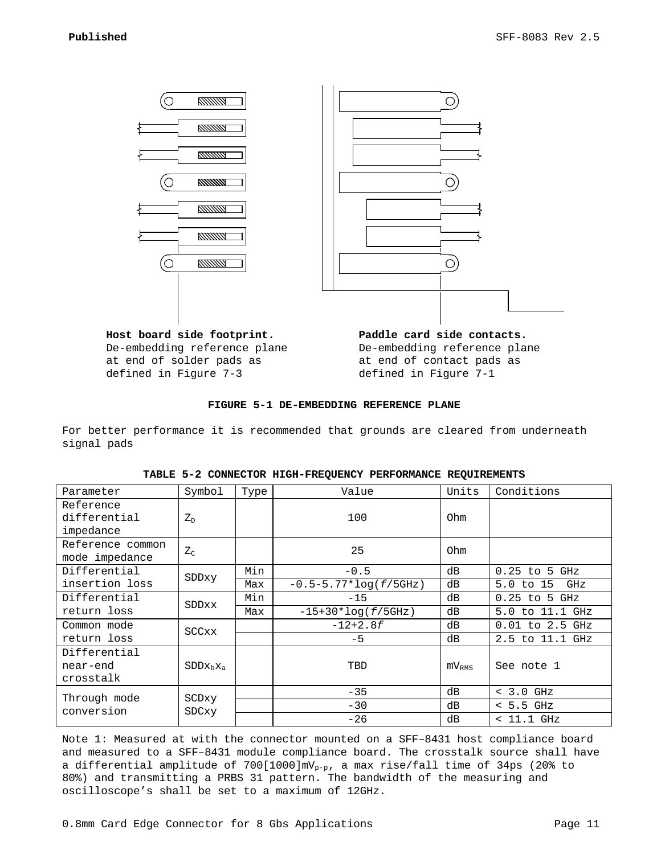

De-embedding reference plane at end of solder pads as defined in Figure 7-3

**Module Side Contact Paddle card side contacts.** De-embedding reference plane at end of contact pads as defined in Figure 7-1

#### **FIGURE 5-1 DE-EMBEDDING REFERENCE PLANE**

For better performance it is recommended that grounds are cleared from underneath signal pads

| Parameter        | Symbol         | Type | Value                       | Units                | Conditions          |
|------------------|----------------|------|-----------------------------|----------------------|---------------------|
| Reference        |                |      |                             |                      |                     |
| differential     | $Z_{\rm D}$    |      | 100                         | Ohm                  |                     |
| impedance        |                |      |                             |                      |                     |
| Reference common |                |      | 25                          | Ohm                  |                     |
| mode impedance   | $Z_{\rm C}$    |      |                             |                      |                     |
| Differential     |                | Min  | $-0.5$                      | dВ                   | $0.25$ to 5 GHz     |
| insertion loss   | SDDxy          | Max  | $-0.5 - 5.77 * log(f/5GHz)$ | $5.0$ to $15$<br>GHz |                     |
| Differential     | <b>SDDxx</b>   | Min  | $-15$                       | dВ                   | $0.25$ to 5 GHz     |
| return loss      |                | Max  | $-15+30*log(f/5GHz)$        | dВ                   | 5.0 to 11.1 GHz     |
| Common mode      | <b>SCCxx</b>   |      | $-12+2.8f$                  | dВ                   | $0.01$ to $2.5$ GHz |
| return loss      |                |      | $-5$                        | dВ                   | 2.5 to 11.1 GHz     |
| Differential     |                |      |                             |                      |                     |
| near-end         | $SDDx_bx_a$    |      | TBD                         | $mv_{RMS}$           | See note 1          |
| crosstalk        |                |      |                             |                      |                     |
| Through mode     |                |      | $-35$                       | dВ                   | $< 3.0$ GHz         |
| conversion       | SCDxy<br>SDCxy |      | $-30$                       | dВ                   | $< 5.5$ GHz         |
|                  |                |      | $-26$                       | dВ                   | $<$ 11.1 GHz        |

| TABLE 5-2 CONNECTOR HIGH-FREQUENCY PERFORMANCE REQUIREMENTS |  |  |  |
|-------------------------------------------------------------|--|--|--|
|-------------------------------------------------------------|--|--|--|

Note 1: Measured at with the connector mounted on a SFF–8431 host compliance board and measured to a SFF–8431 module compliance board. The crosstalk source shall have a differential amplitude of  $700[1000]$ mV<sub>p-p</sub>, a max rise/fall time of 34ps (20% to 80%) and transmitting a PRBS 31 pattern. The bandwidth of the measuring and oscilloscope's shall be set to a maximum of 12GHz.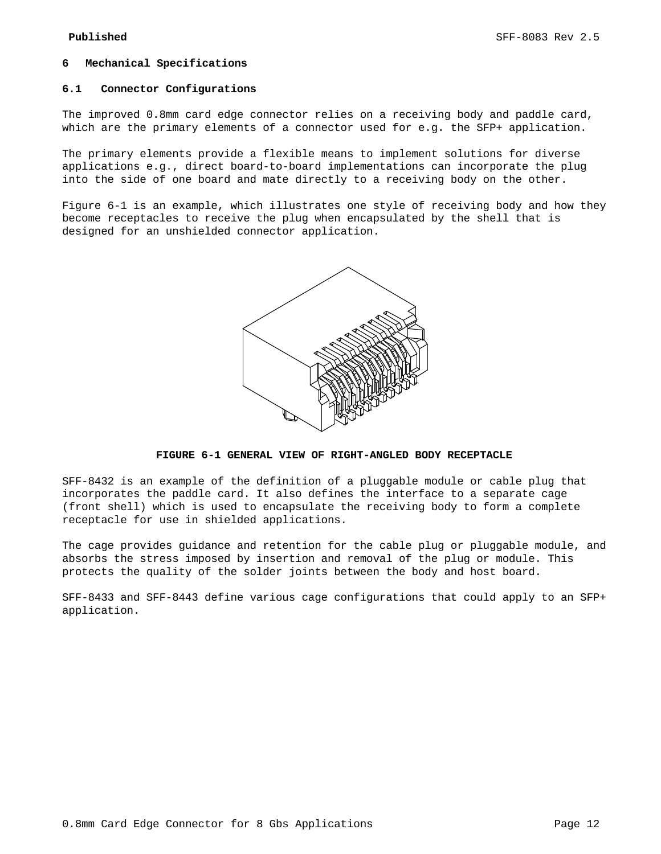#### **6 Mechanical Specifications**

#### **6.1 Connector Configurations**

The improved 0.8mm card edge connector relies on a receiving body and paddle card, which are the primary elements of a connector used for e.g. the SFP+ application.

The primary elements provide a flexible means to implement solutions for diverse applications e.g., direct board-to-board implementations can incorporate the plug into the side of one board and mate directly to a receiving body on the other.

Figure 6-1 is an example, which illustrates one style of receiving body and how they become receptacles to receive the plug when encapsulated by the shell that is designed for an unshielded connector application.



**FIGURE 6-1 GENERAL VIEW OF RIGHT-ANGLED BODY RECEPTACLE**

SFF-8432 is an example of the definition of a pluggable module or cable plug that incorporates the paddle card. It also defines the interface to a separate cage (front shell) which is used to encapsulate the receiving body to form a complete receptacle for use in shielded applications.

The cage provides guidance and retention for the cable plug or pluggable module, and absorbs the stress imposed by insertion and removal of the plug or module. This protects the quality of the solder joints between the body and host board.

SFF-8433 and SFF-8443 define various cage configurations that could apply to an SFP+ application.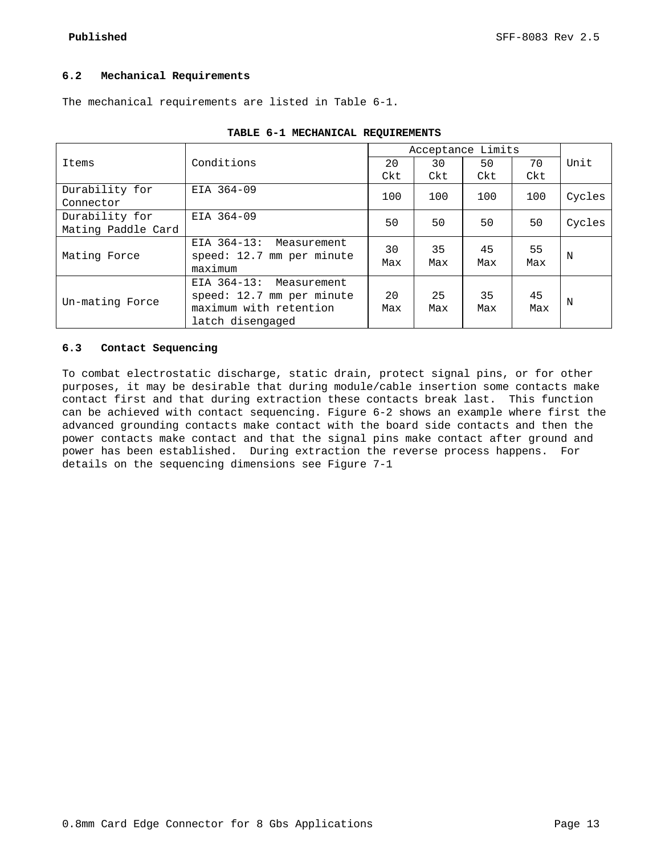## **6.2 Mechanical Requirements**

The mechanical requirements are listed in Table 6-1.

|                    |                            |     | Acceptance Limits |     |     |        |  |
|--------------------|----------------------------|-----|-------------------|-----|-----|--------|--|
| Items              | Conditions                 | 20  | 30                | 50  | 70  | Unit   |  |
|                    |                            | Ckt | Ckt               | Ckt | Ckt |        |  |
| Durability for     | EIA 364-09                 | 100 | 100               | 100 | 100 | Cycles |  |
| Connector          |                            |     |                   |     |     |        |  |
| Durability for     | EIA 364-09                 | 50  | 50                | 50  | 50  | Cycles |  |
| Mating Paddle Card |                            |     |                   |     |     |        |  |
|                    | EIA 364-13:<br>Measurement | 30  | 35                | 45  | 55  |        |  |
| Mating Force       | speed: 12.7 mm per minute  | Max | Max               | Max | Max | N      |  |
|                    | maximum                    |     |                   |     |     |        |  |
|                    | EIA 364-13: Measurement    |     |                   |     |     |        |  |
| Un-mating Force    | speed: 12.7 mm per minute  | 20  | 25                | 35  | 45  | N      |  |
|                    | maximum with retention     | Max | Max               | Max | Max |        |  |
|                    | latch disengaged           |     |                   |     |     |        |  |

|  | TABLE 6-1 MECHANICAL REQUIREMENTS |
|--|-----------------------------------|
|  |                                   |

## **6.3 Contact Sequencing**

To combat electrostatic discharge, static drain, protect signal pins, or for other purposes, it may be desirable that during module/cable insertion some contacts make contact first and that during extraction these contacts break last. This function can be achieved with contact sequencing. Figure 6-2 shows an example where first the advanced grounding contacts make contact with the board side contacts and then the power contacts make contact and that the signal pins make contact after ground and power has been established. During extraction the reverse process happens. For details on the sequencing dimensions see Figure 7-1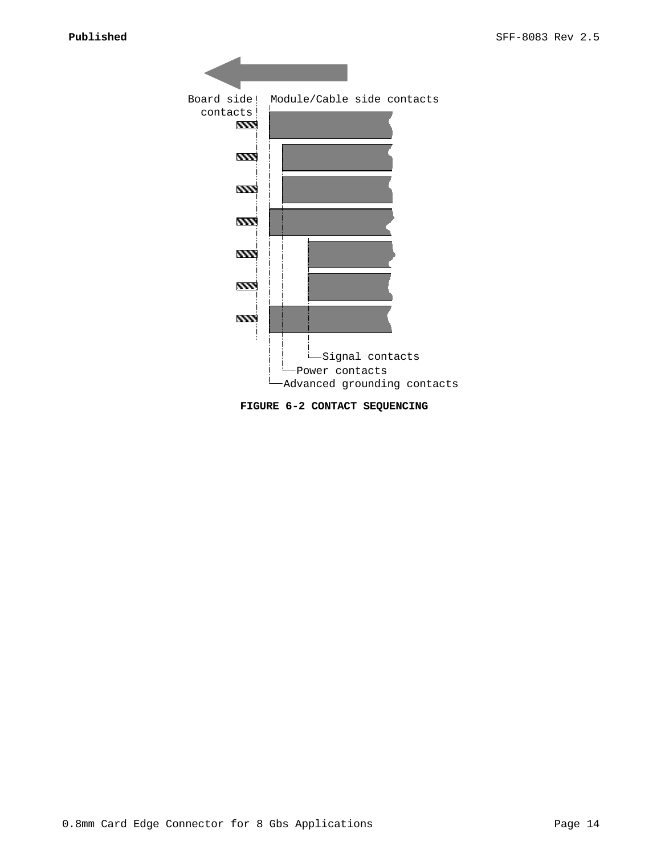

**FIGURE 6-2 CONTACT SEQUENCING**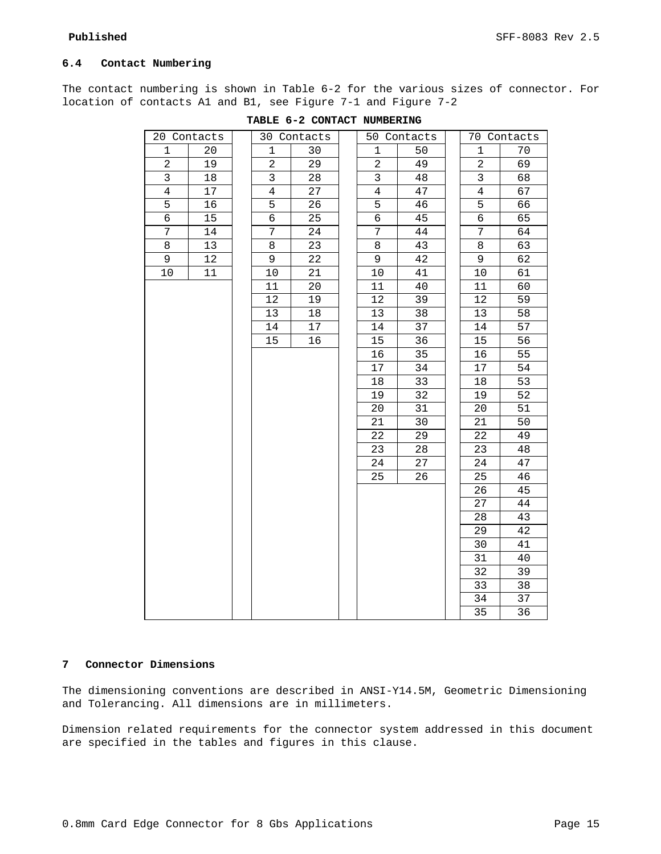# **6.4 Contact Numbering**

The contact numbering is shown in Table 6-2 for the various sizes of connector. For location of contacts A1 and B1, see Figure 7-1 and Figure 7-2

| 20 Contacts |    | 30 Contacts    |    |                | 50 Contacts |                | 70 Contacts |
|-------------|----|----------------|----|----------------|-------------|----------------|-------------|
| 1           | 20 | 1              | 30 | 1              | 50          | 1              | 70          |
| 2           | 19 | $\overline{a}$ | 29 | 2              | 49          | $\sqrt{2}$     | 69          |
| 3           | 18 | 3              | 28 | 3              | 48          | 3              | 68          |
| 4           | 17 | $\overline{4}$ | 27 | $\overline{4}$ | 47          | $\overline{4}$ | 67          |
| 5           | 16 | 5              | 26 | 5              | 46          | 5              | 66          |
| 6           | 15 | б              | 25 | 6              | 45          | 6              | 65          |
| 7           | 14 | 7              | 24 | 7              | 44          | 7              | 64          |
| 8           | 13 | 8              | 23 | 8              | 43          | 8              | 63          |
| 9           | 12 | 9              | 22 | 9              | 42          | 9              | 62          |
| $10$        | 11 | 10             | 21 | $10$           | 41          | $10$           | 61          |
|             |    | 11             | 20 | 11             | 40          | 11             | 60          |
|             |    | 12             | 19 | 12             | 39          | 12             | 59          |
|             |    | 13             | 18 | 13             | 38          | 13             | 58          |
|             |    | 14             | 17 | 14             | 37          | 14             | 57          |
|             |    | 15             | 16 | 15             | 36          | 15             | 56          |
|             |    |                |    | 16             | 35          | 16             | 55          |
|             |    |                |    | $17$           | 34          | $17$           | 54          |
|             |    |                |    | 18             | 33          | 18             | 53          |
|             |    |                |    | 19             | 32          | 19             | 52          |
|             |    |                |    | 20             | 31          | 20             | 51          |
|             |    |                |    | 21             | 30          | 21             | 50          |
|             |    |                |    | 22             | 29          | 22             | 49          |
|             |    |                |    | 23             | 28          | 23             | 48          |
|             |    |                |    | 24             | 27          | 24             | 47          |
|             |    |                |    | 25             | 26          | 25             | 46          |
|             |    |                |    |                |             | 26             | 45          |
|             |    |                |    |                |             | 27             | 44          |
|             |    |                |    |                |             | 28             | 43          |
|             |    |                |    |                |             | 29             | 42          |
|             |    |                |    |                |             | 30             | 41          |
|             |    |                |    |                |             | 31             | 40          |
|             |    |                |    |                |             | 32             | 39          |
|             |    |                |    |                |             | 33             | 38          |
|             |    |                |    |                |             | 34             | 37          |
|             |    |                |    |                |             | 35             | 36          |

#### **TABLE 6-2 CONTACT NUMBERING**

# **Connector Dimensions**

The dimensioning conventions are described in ANSI-Y14.5M, Geometric Dimensioning and Tolerancing. All dimensions are in millimeters.

Dimension related requirements for the connector system addressed in this document are specified in the tables and figures in this clause.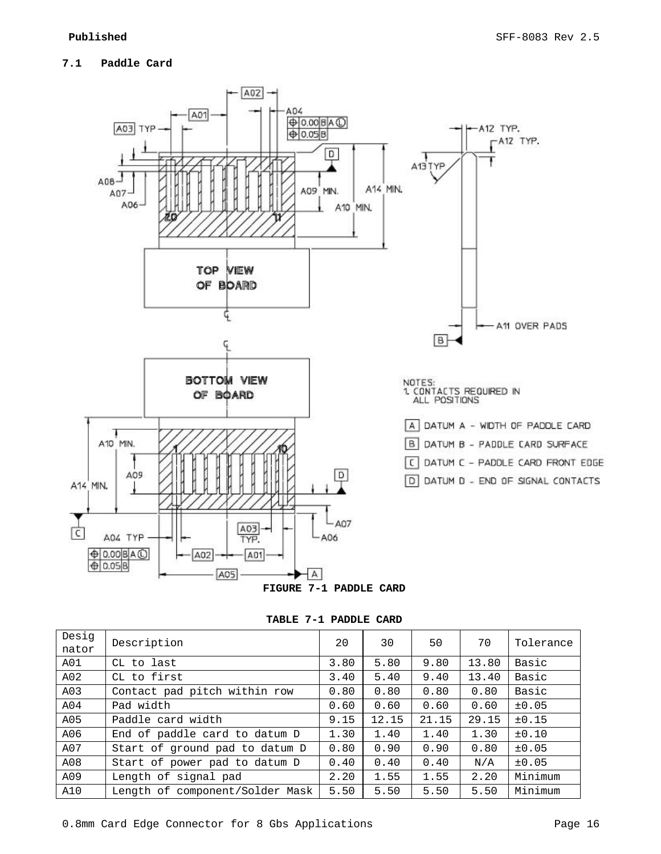# **7.1 Paddle Card**



**TABLE 7-1 PADDLE CARD**

| Desig<br>nator | Description                     |      | 30    | 50    | 70    | Tolerance  |
|----------------|---------------------------------|------|-------|-------|-------|------------|
| A01            | CL to last                      | 3.80 | 5.80  | 9.80  | 13.80 | Basic      |
| A02            | CL to first                     |      | 5.40  | 9.40  | 13.40 | Basic      |
| A03            | Contact pad pitch within row    | 0.80 | 0.80  | 0.80  | 0.80  | Basic      |
| A04            | Pad width                       | 0.60 | 0.60  | 0.60  | 0.60  | $\pm 0.05$ |
| A05            | Paddle card width               | 9.15 | 12.15 | 21.15 | 29.15 | ±0.15      |
| A06            | End of paddle card to datum D   | 1.30 | 1.40  | 1.40  | 1.30  | $\pm 0.10$ |
| A07            | Start of ground pad to datum D  | 0.80 | 0.90  | 0.90  | 0.80  | $\pm 0.05$ |
| A08            | Start of power pad to datum D   | 0.40 | 0.40  | 0.40  | N/A   | $\pm 0.05$ |
| A09            | Length of signal pad            | 2.20 | 1.55  | 1.55  | 2.20  | Minimum    |
| A10            | Length of component/Solder Mask | 5.50 | 5.50  | 5.50  | 5.50  | Minimum    |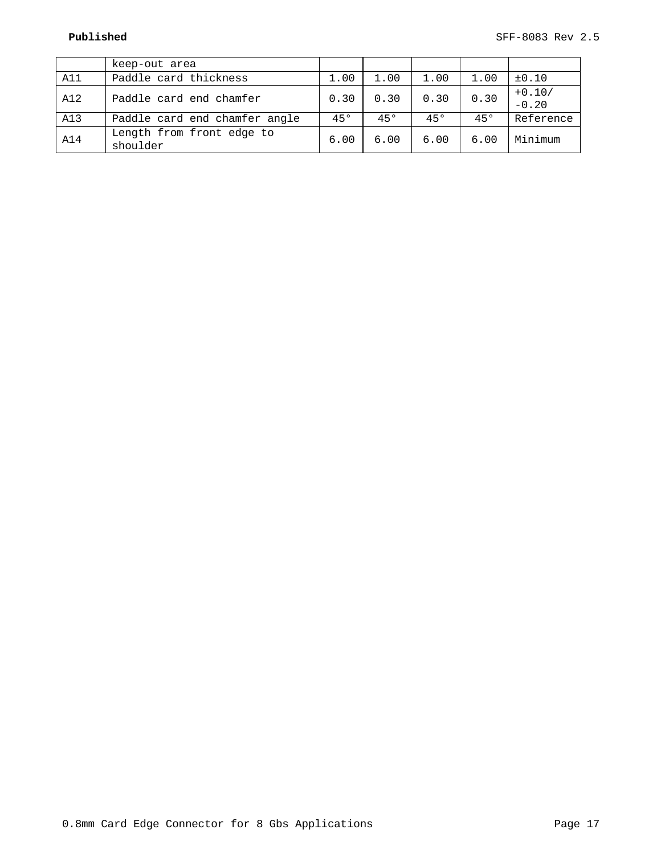|     | keep-out area                 |      |      |      |      |            |
|-----|-------------------------------|------|------|------|------|------------|
| A11 | Paddle card thickness         | 1.00 | 1.00 | 1.00 | 1.00 | $\pm 0.10$ |
| A12 | Paddle card end chamfer       | 0.30 | 0.30 | 0.30 | 0.30 | $+0.10/$   |
|     |                               |      |      |      |      | $-0.20$    |
| A13 | Paddle card end chamfer angle | 450  | 450  | 450  | 450  | Reference  |
| A14 | Length from front edge to     | 6.00 | 6.00 | 6.00 | 6.00 | Minimum    |
|     | shoulder                      |      |      |      |      |            |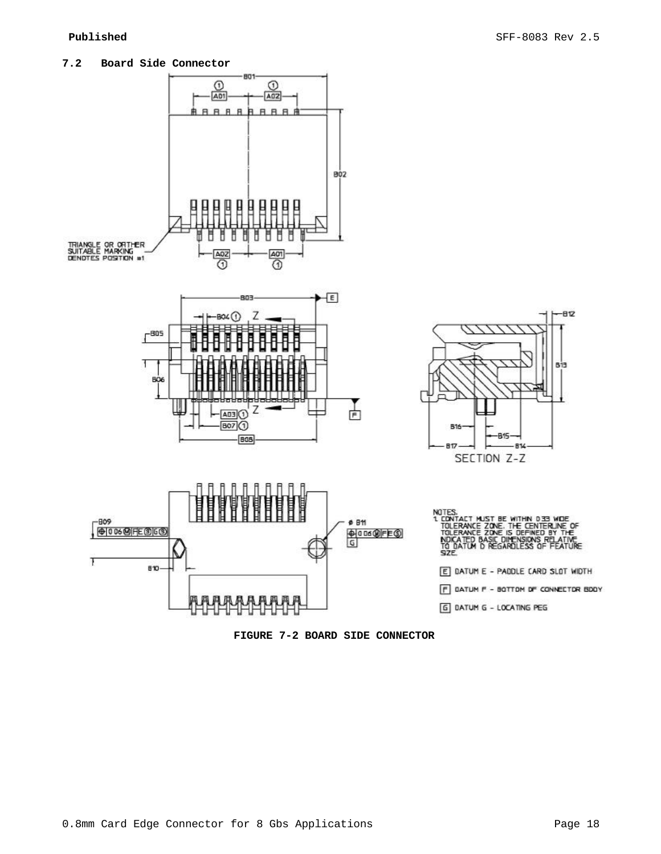



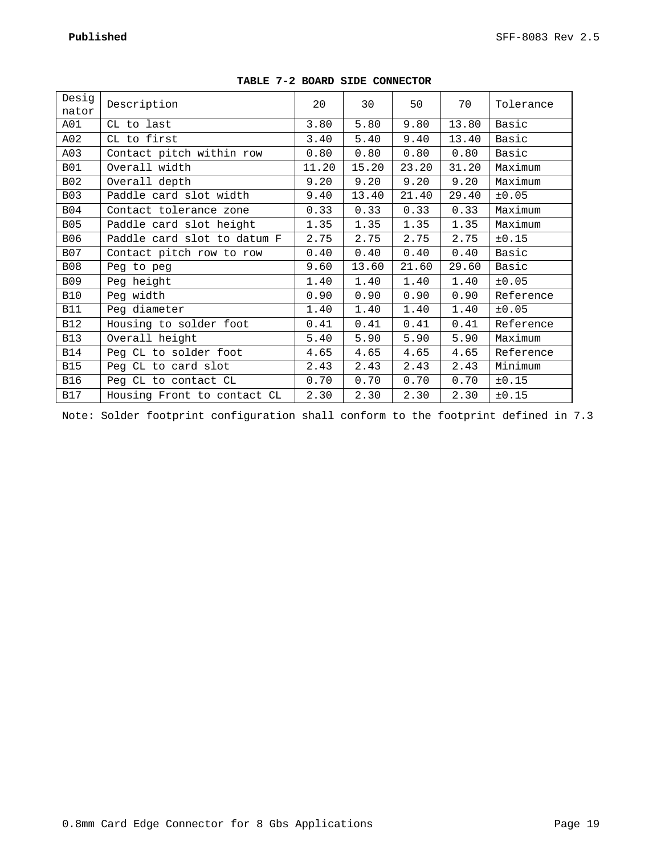| Desig      | Description                 | 20    | 30    | 50    | 70    | Tolerance |
|------------|-----------------------------|-------|-------|-------|-------|-----------|
| nator      |                             |       |       |       |       |           |
| A01        | CL to last                  | 3.80  | 5.80  | 9.80  | 13.80 | Basic     |
| A02        | CL to first                 | 3.40  | 5.40  | 9.40  | 13.40 | Basic     |
| A03        | Contact pitch within row    | 0.80  | 0.80  | 0.80  | 0.80  | Basic     |
| <b>B01</b> | Overall width               | 11.20 | 15.20 | 23.20 | 31.20 | Maximum   |
| <b>B02</b> | Overall depth               | 9.20  | 9.20  | 9.20  | 9.20  | Maximum   |
| <b>B03</b> | Paddle card slot width      | 9.40  | 13.40 | 21.40 | 29.40 | ±0.05     |
| <b>B04</b> | Contact tolerance zone      | 0.33  | 0.33  | 0.33  | 0.33  | Maximum   |
| <b>B05</b> | Paddle card slot height     | 1.35  | 1.35  | 1.35  | 1.35  | Maximum   |
| B06        | Paddle card slot to datum F | 2.75  | 2.75  | 2.75  | 2.75  | ±0.15     |
| <b>B07</b> | Contact pitch row to row    | 0.40  | 0.40  | 0.40  | 0.40  | Basic     |
| <b>B08</b> | Peg to peg                  | 9.60  | 13.60 | 21.60 | 29.60 | Basic     |
| <b>B09</b> | Peg height                  | 1.40  | 1.40  | 1.40  | 1.40  | ±0.05     |
| <b>B10</b> | Peg width                   | 0.90  | 0.90  | 0.90  | 0.90  | Reference |
| <b>B11</b> | Peg diameter                | 1.40  | 1.40  | 1.40  | 1.40  | ±0.05     |
| <b>B12</b> | Housing to solder foot      | 0.41  | 0.41  | 0.41  | 0.41  | Reference |
| <b>B13</b> | Overall height              | 5.40  | 5.90  | 5.90  | 5.90  | Maximum   |
| <b>B14</b> | Peg CL to solder foot       | 4.65  | 4.65  | 4.65  | 4.65  | Reference |
| <b>B15</b> | Peg CL to card slot         | 2.43  | 2.43  | 2.43  | 2.43  | Minimum   |
| <b>B16</b> | Peg CL to contact CL        | 0.70  | 0.70  | 0.70  | 0.70  | ±0.15     |
| <b>B17</b> | Housing Front to contact CL | 2.30  | 2.30  | 2.30  | 2.30  | ±0.15     |

| TABLE 7-2 BOARD SIDE CONNECTOR |  |  |  |
|--------------------------------|--|--|--|
|--------------------------------|--|--|--|

Note: Solder footprint configuration shall conform to the footprint defined in 7.3